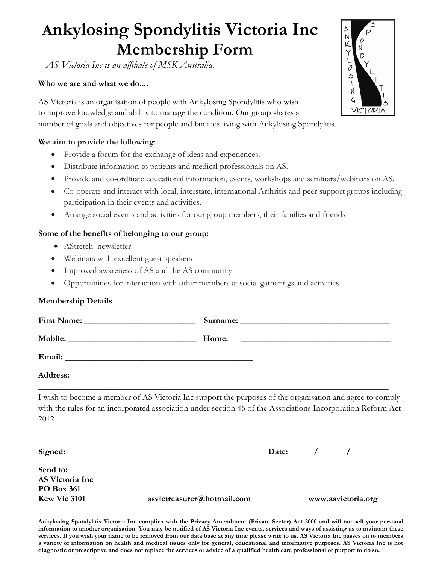# **Ankylosing Spondylitis Victoria Inc Membership Form**

*AS Victoria Inc is an affiliate of MSK Australia.*

#### **Who we are and what we do....**

AS Victoria is an organisation of people with Ankylosing Spondylitis who wish to improve knowledge and ability to manage the condition. Our group shares a number of goals and objectives for people and families living with Ankylosing Spondylitis.

#### **We aim to provide the following**:

- Provide a forum for the exchange of ideas and experiences.
- Distribute information to patients and medical professionals on AS.
- Provide and co-ordinate educational information, events, workshops and seminars/webinars on AS.
- Co-operate and interact with local, interstate, international Arthritis and peer support groups including participation in their events and activities.
- Arrange social events and activities for our group members, their families and friends

#### **Some of the benefits of belonging to our group:**

- AStretch newsletter
- Webinars with excellent guest speakers
- Improved awareness of AS and the AS community
- Opportunities for interaction with other members at social gatherings and activities

#### **Membership Details**

|                 | Home: |
|-----------------|-------|
|                 |       |
| <b>Address:</b> |       |

I wish to become a member of AS Victoria Inc support the purposes of the organisation and agree to comply with the rules for an incorporated association under section 46 of the Associations Incorporation Reform Act 2012.

| Signed:                     |                            | Date: |                    |
|-----------------------------|----------------------------|-------|--------------------|
| Send to:<br>AS Victoria Inc |                            |       |                    |
| <b>PO Box 361</b>           |                            |       |                    |
| Kew Vic 3101                | asvictreasurer@hotmail.com |       | www.asvictoria.org |
|                             |                            |       |                    |

**Ankylosing Spondylitis Victoria Inc complies with the Privacy Amendment (Private Sector) Act 2000 and will not sell your personal information to another organisation. You may be notified of AS Victoria Inc events, services and ways of assisting us to maintain these services. If you wish your name to be removed from our data base at any time please write to us. AS Victoria Inc passes on to members a variety of information on health and medical issues only for general, educational and informative purposes. AS Victoria Inc is not diagnostic or prescriptive and does not replace the services or advice of a qualified health care professional or purport to do so.**